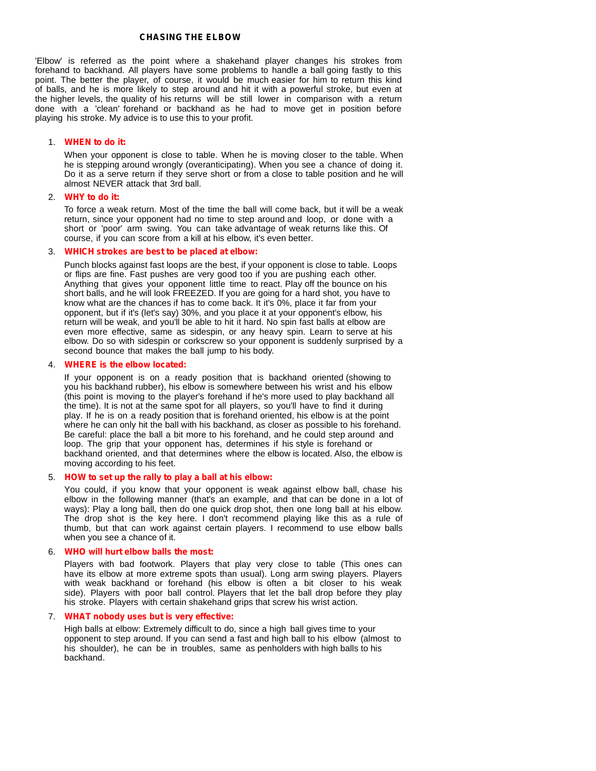# **CHASING THE ELBOW**

'Elbow' is referred as the point where a shakehand player changes his strokes from forehand to backhand. All players have some problems to handle a ball going fastly to this point. The better the player, of course, it would be much easier for him to return this kind of balls, and he is more likely to step around and hit it with a powerful stroke, but even at the higher levels, the quality of his returns will be still lower in comparison with a return done with a 'clean' forehand or backhand as he had to move get in position before playing his stroke. My advice is to use this to your profit.

## 1. **WHEN to do it:**

When your opponent is close to table. When he is moving closer to the table. When he is stepping around wrongly (overanticipating). When you see a chance of doing it. Do it as a serve return if they serve short or from a close to table position and he will almost NEVER attack that 3rd ball.2. **WHY to do it:**

To force a weak return. Most of the time the ball will come back, but it will be a weak return, since your opponent had no time to step around and loop, or done with a short or 'poor' arm swing. You can take advantage of weak returns like this. Of course, if you can score from a kill at his elbow, it's even better.

## 3. **WHICH strokes are best to be placed at elbow:**

Punch blocks against fast loops are the best, if your opponent is close to table. Loops or flips are fine. Fast pushes are very good too if you are pushing each other. Anything that gives your opponent little time to react. Play off the bounce on his short balls, and he will look FREEZED. If you are going for a hard shot, you have to know what are the chances if has to come back. It it's 0%, place it far from your opponent, but if it's (let's say) 30%, and you place it at your opponent's elbow, his return will be weak, and you'll be able to hit it hard. No spin fast balls at elbow are even more effective, same as sidespin, or any heavy spin. Learn to serve at his elbow. Do so with sidespin or corkscrew so your opponent is suddenly surprised by a second bounce that makes the ball jump to his body.

#### 4. **WHERE is the elbow located:**

If your opponent is on a ready position that is backhand oriented (showing to you his backhand rubber), his elbow is somewhere between his wrist and his elbow (this point is moving to the player's forehand if he's more used to play backhand all the time). It is not at the same spot for all players, so you'll have to find it during play. If he is on a ready position that is forehand oriented, his elbow is at the point where he can only hit the ball with his backhand, as closer as possible to his forehand. Be careful: place the ball a bit more to his forehand, and he could step around and loop. The grip that your opponent has, determines if his style is forehand or backhand oriented, and that determines where the elbow is located. Also, the elbow is moving according to his feet.

## 5. **HOW to set up the rally to play a ball at his elbow:**

You could, if you know that your opponent is weak against elbow ball, chase his elbow in the following manner (that's an example, and that can be done in a lot of ways): Play a long ball, then do one quick drop shot, then one long ball at his elbow. The drop shot is the key here. I don't recommend playing like this as a rule of thumb, but that can work against certain players. I recommend to use elbow balls when you see a chance of it.

#### 6. **WHO will hurt elbow balls the most:**

Players with bad footwork. Players that play very close to table (This ones can have its elbow at more extreme spots than usual). Long arm swing players. Players with weak backhand or forehand (his elbow is often a bit closer to his weak side). Players with poor ball control. Players that let the ball drop before they play his stroke. Players with certain shakehand grips that screw his wrist action.

## 7. **WHAT nobody uses but is very effective:**

High balls at elbow: Extremely difficult to do, since a high ball gives time to your opponent to step around. If you can send a fast and high ball to his elbow (almost to his shoulder), he can be in troubles, same as penholders with high balls to his backhand.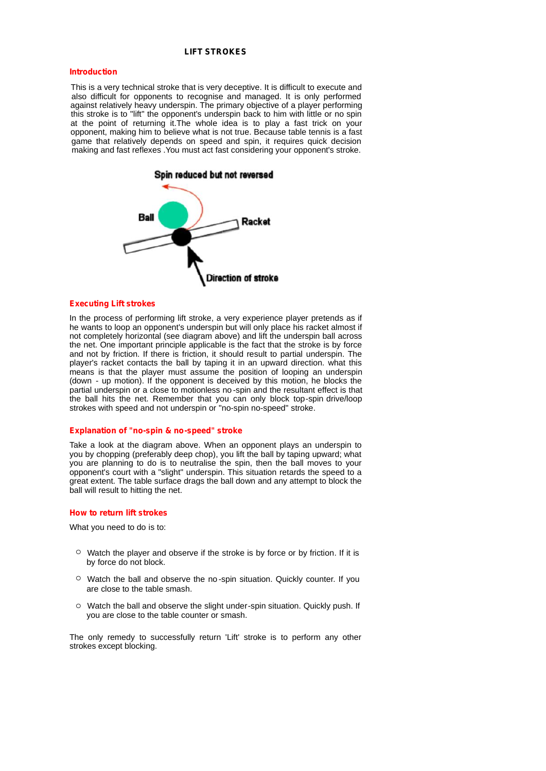# **LIFT STROKES**

## **Introduction**

This is a very technical stroke that is very deceptive. It is difficult to execute and also difficult for opponents to recognise and managed. It is only performed against relatively heavy underspin. The primary objective of a player performing this stroke is to "lift" the opponent's underspin back to him with little or no spin at the point of returning it.The whole idea is to play a fast trick on your opponent, making him to believe what is not true. Because table tennis is a fast game that relatively depends on speed and spin, it requires quick decision making and fast reflexes .You must act fast considering your opponent's stroke.



## **Executing Lift strokes**

In the process of performing lift stroke, a very experience player pretends as if he wants to loop an opponent's underspin but will only place his racket almost if not completely horizontal (see diagram above) and lift the underspin ball across the net. One important principle applicable is the fact that the stroke is by force and not by friction. If there is friction, it should result to partial underspin. The player's racket contacts the ball by taping it in an upward direction. what this means is that the player must assume the position of looping an underspin (down - up motion). If the opponent is deceived by this motion, he blocks the partial underspin or a close to motionless no -spin and the resultant effect is that the ball hits the net. Remember that you can only block top-spin drive/loop strokes with speed and not underspin or "no-spin no-speed" stroke.

## **Explanation of "no-spin & no-speed" stroke**

Take a look at the diagram above. When an opponent plays an underspin to you by chopping (preferably deep chop), you lift the ball by taping upward; what you are planning to do is to neutralise the spin, then the ball moves to your opponent's court with a "slight" underspin. This situation retards the speed to a great extent. The table surface drags the ball down and any attempt to block the ball will result to hitting the net.

## **How** to return lift strokes

What you need to do is to:

- $\circ$  Watch the player and observe if the stroke is by force or by friction. If it is by force do not block.
- Watch the ball and observe the no -spin situation. Quickly counter. If you are close to the table smash.
- Watch the ball and observe the slight under-spin situation. Quickly push. If you are close to the table counter or smash.

The only remedy to successfully return 'Lift' stroke is to perform any other strokes except blocking.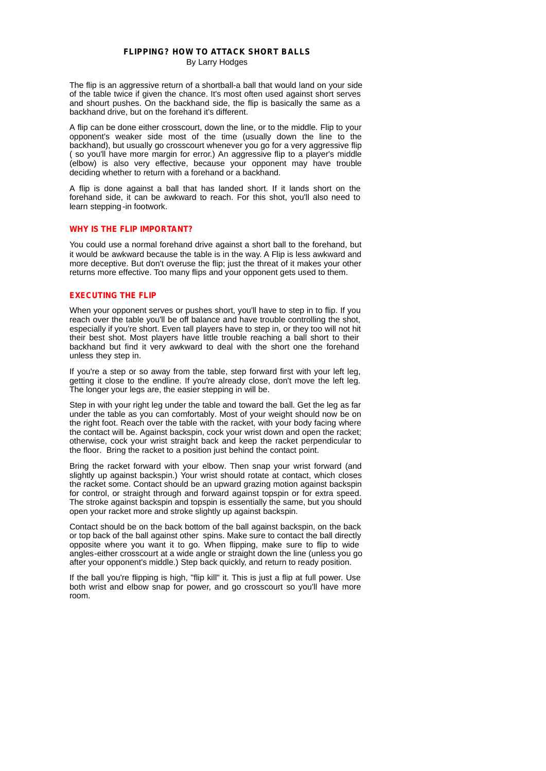# **FLIPPING? HOW TO ATTACK SHORT BALLS** By Larry Hodges

The flip is an aggressive return of a shortball-a ball that would land on your side of the table twice if given the chance. It's most often used against short serves and shourt pushes. On the backhand side, the flip is basically the same as a backhand drive, but on the forehand it's different.

A flip can be done either crosscourt, down the line, or to the middle. Flip to your opponent's weaker side most of the time (usually down the line to the backhand), but usually go crosscourt whenever you go for a very aggressive flip ( so you'll have more margin for error.) An aggressive flip to a player's middle (elbow) is also very effective, because your opponent may have trouble deciding whether to return with a forehand or a backhand.

A flip is done against a ball that has landed short. If it lands short on the forehand side, it can be awkward to reach. For this shot, you'll also need to learn stepping -in footwork.

# **WHY IS THE FLIP IMPORTANT?**

You could use a normal forehand drive against a short ball to the forehand, but it would be awkward because the table is in the way. A Flip is less awkward and more deceptive. But don't overuse the flip; just the threat of it makes your other returns more effective. Too many flips and your opponent gets used to them.

# **EXECUTING THE FLIP**

When your opponent serves or pushes short, you'll have to step in to flip. If you reach over the table you'll be off balance and have trouble controlling the shot, especially if you're short. Even tall players have to step in, or they too will not hit their best shot. Most players have little trouble reaching a ball short to their backhand but find it very awkward to deal with the short one the forehand unless they step in.

If you're a step or so away from the table, step forward first with your left leg, getting it close to the endline. If you're already close, don't move the left leg. The longer your legs are, the easier stepping in will be.

Step in with your right leg under the table and toward the ball. Get the leg as far under the table as you can comfortably. Most of your weight should now be on the right foot. Reach over the table with the racket, with your body facing where the contact will be. Against backspin, cock your wrist down and open the racket; otherwise, cock your wrist straight back and keep the racket perpendicular to the floor. Bring the racket to a position just behind the contact point.

Bring the racket forward with your elbow. Then snap your wrist forward (and slightly up against backspin.) Your wrist should rotate at contact, which closes the racket some. Contact should be an upward grazing motion against backspin for control, or straight through and forward against topspin or for extra speed. The stroke against backspin and topspin is essentially the same, but you should open your racket more and stroke slightly up against backspin.

Contact should be on the back bottom of the ball against backspin, on the back or top back of the ball against other spins. Make sure to contact the ball directly opposite where you want it to go. When flipping, make sure to flip to wide angles-either crosscourt at a wide angle or straight down the line (unless you go after your opponent's middle.) Step back quickly, and return to ready position.

If the ball you're flipping is high, "flip kill" it. This is just a flip at full power. Use both wrist and elbow snap for power, and go crosscourt so you'll have more room.